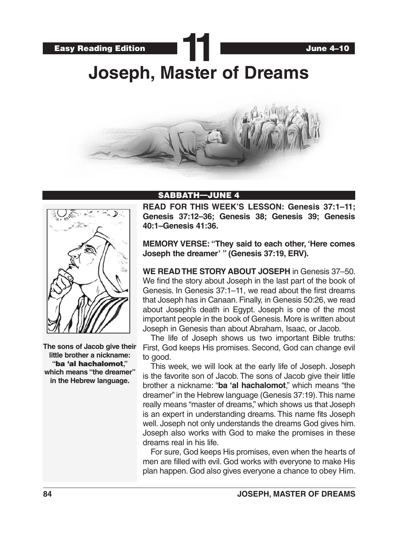



**The sons of Jacob give their little brother a nickname: "**ba 'al hachalomot**," which means "the dreamer" in the Hebrew language.**

#### SABBATH—JUNE 4

**READ FOR THIS WEEK'S LESSON: Genesis 37:1–11; Genesis 37:12–36; Genesis 38; Genesis 39; Genesis 40:1–Genesis 41:36.**

**MEMORY VERSE: "They said to each other, 'Here comes Joseph the dreamer' " (Genesis 37:19, ERV).**

**WE READ THE STORY ABOUT JOSEPH** in Genesis 37–50. We find the story about Joseph in the last part of the book of Genesis. In Genesis 37:1–11, we read about the first dreams that Joseph has in Canaan. Finally, in Genesis 50:26, we read about Joseph's death in Egypt. Joseph is one of the most important people in the book of Genesis. More is written about Joseph in Genesis than about Abraham, Isaac, or Jacob.

The life of Joseph shows us two important Bible truths: First, God keeps His promises. Second, God can change evil to good.

This week, we will look at the early life of Joseph. Joseph is the favorite son of Jacob. The sons of Jacob give their little brother a nickname: "**ba 'al hachalomot**," which means "the dreamer" in the Hebrew language (Genesis 37:19). This name really means "master of dreams," which shows us that Joseph is an expert in understanding dreams. This name fits Joseph well. Joseph not only understands the dreams God gives him. Joseph also works with God to make the promises in these dreams real in his life.

For sure, God keeps His promises, even when the hearts of men are filled with evil. God works with everyone to make His plan happen. God also gives everyone a chance to obey Him.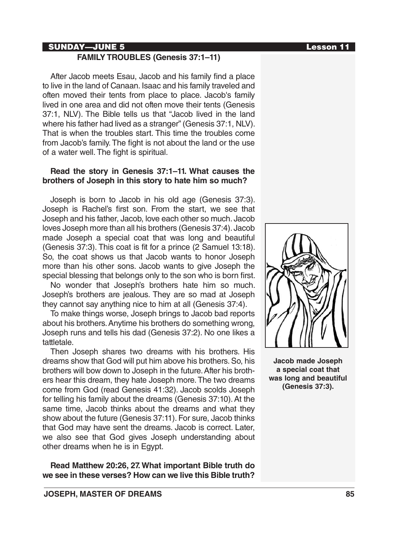#### SUNDAY—JUNE 5 Lesson 11

## **FAMILY TROUBLES (Genesis 37:1–11)**

After Jacob meets Esau, Jacob and his family find a place to live in the land of Canaan. Isaac and his family traveled and often moved their tents from place to place. Jacob's family lived in one area and did not often move their tents (Genesis 37:1, NLV). The Bible tells us that "Jacob lived in the land where his father had lived as a stranger" (Genesis 37:1, NLV). That is when the troubles start. This time the troubles come from Jacob's family. The fight is not about the land or the use of a water well. The fight is spiritual.

#### **Read the story in Genesis 37:1–11. What causes the brothers of Joseph in this story to hate him so much?**

Joseph is born to Jacob in his old age (Genesis 37:3). Joseph is Rachel's first son. From the start, we see that Joseph and his father, Jacob, love each other so much. Jacob loves Joseph more than all his brothers (Genesis 37:4). Jacob made Joseph a special coat that was long and beautiful (Genesis 37:3). This coat is fit for a prince (2 Samuel 13:18). So, the coat shows us that Jacob wants to honor Joseph more than his other sons. Jacob wants to give Joseph the special blessing that belongs only to the son who is born first.

No wonder that Joseph's brothers hate him so much. Joseph's brothers are jealous. They are so mad at Joseph they cannot say anything nice to him at all (Genesis 37:4).

To make things worse, Joseph brings to Jacob bad reports about his brothers. Anytime his brothers do something wrong, Joseph runs and tells his dad (Genesis 37:2). No one likes a tattletale.

Then Joseph shares two dreams with his brothers. His dreams show that God will put him above his brothers. So, his brothers will bow down to Joseph in the future. After his brothers hear this dream, they hate Joseph more. The two dreams come from God (read Genesis 41:32). Jacob scolds Joseph for telling his family about the dreams (Genesis 37:10). At the same time, Jacob thinks about the dreams and what they show about the future (Genesis 37:11). For sure, Jacob thinks that God may have sent the dreams. Jacob is correct. Later, we also see that God gives Joseph understanding about other dreams when he is in Egypt.

**Read Matthew 20:26, 27. What important Bible truth do we see in these verses? How can we live this Bible truth?**



**Jacob made Joseph a special coat that was long and beautiful (Genesis 37:3).**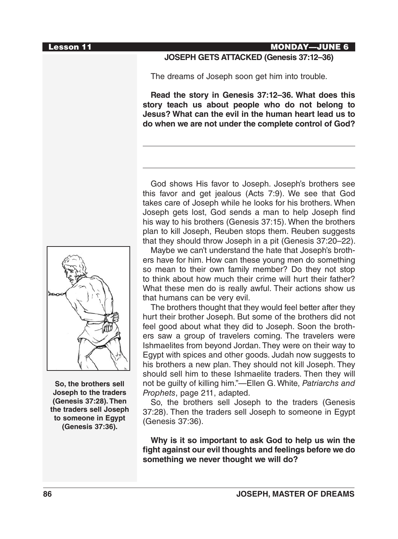#### Lesson 11 MONDAY—JUNE 6

#### **JOSEPH GETS ATTACKED (Genesis 37:12–36)**

The dreams of Joseph soon get him into trouble.

**Read the story in Genesis 37:12–36. What does this story teach us about people who do not belong to Jesus? What can the evil in the human heart lead us to do when we are not under the complete control of God?**

God shows His favor to Joseph. Joseph's brothers see this favor and get jealous (Acts 7:9). We see that God takes care of Joseph while he looks for his brothers. When Joseph gets lost, God sends a man to help Joseph find his way to his brothers (Genesis 37:15). When the brothers plan to kill Joseph, Reuben stops them. Reuben suggests that they should throw Joseph in a pit (Genesis 37:20–22).

Maybe we can't understand the hate that Joseph's brothers have for him. How can these young men do something so mean to their own family member? Do they not stop to think about how much their crime will hurt their father? What these men do is really awful. Their actions show us that humans can be very evil.

The brothers thought that they would feel better after they hurt their brother Joseph. But some of the brothers did not feel good about what they did to Joseph. Soon the brothers saw a group of travelers coming. The travelers were Ishmaelites from beyond Jordan. They were on their way to Egypt with spices and other goods. Judah now suggests to his brothers a new plan. They should not kill Joseph. They should sell him to these Ishmaelite traders. Then they will not be guilty of killing him."—Ellen G. White, *Patriarchs and Prophets*, page 211, adapted.

So, the brothers sell Joseph to the traders (Genesis 37:28). Then the traders sell Joseph to someone in Egypt (Genesis 37:36).

**Why is it so important to ask God to help us win the fight against our evil thoughts and feelings before we do something we never thought we will do?**



**So, the brothers sell Joseph to the traders (Genesis 37:28). Then the traders sell Joseph to someone in Egypt (Genesis 37:36).**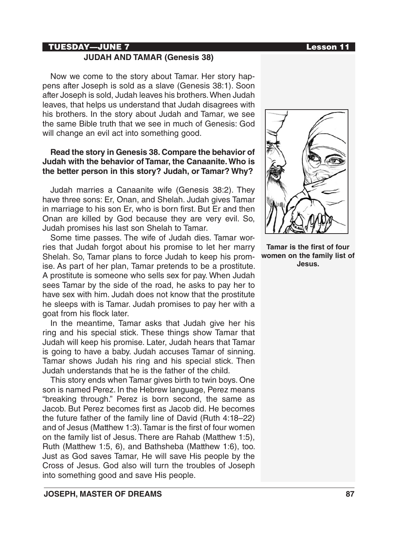## TUESDAY—JUNE 7 Lesson 11

# **JUDAH AND TAMAR (Genesis 38)**

Now we come to the story about Tamar. Her story happens after Joseph is sold as a slave (Genesis 38:1). Soon after Joseph is sold, Judah leaves his brothers. When Judah leaves, that helps us understand that Judah disagrees with his brothers. In the story about Judah and Tamar, we see the same Bible truth that we see in much of Genesis: God will change an evil act into something good.

## **Read the story in Genesis 38. Compare the behavior of Judah with the behavior of Tamar, the Canaanite. Who is the better person in this story? Judah, or Tamar? Why?**

Judah marries a Canaanite wife (Genesis 38:2). They have three sons: Er, Onan, and Shelah. Judah gives Tamar in marriage to his son Er, who is born first. But Er and then Onan are killed by God because they are very evil. So, Judah promises his last son Shelah to Tamar.

Some time passes. The wife of Judah dies. Tamar worries that Judah forgot about his promise to let her marry Shelah. So, Tamar plans to force Judah to keep his promise. As part of her plan, Tamar pretends to be a prostitute. A prostitute is someone who sells sex for pay. When Judah sees Tamar by the side of the road, he asks to pay her to have sex with him. Judah does not know that the prostitute he sleeps with is Tamar. Judah promises to pay her with a goat from his flock later.

In the meantime, Tamar asks that Judah give her his ring and his special stick. These things show Tamar that Judah will keep his promise. Later, Judah hears that Tamar is going to have a baby. Judah accuses Tamar of sinning. Tamar shows Judah his ring and his special stick. Then Judah understands that he is the father of the child.

This story ends when Tamar gives birth to twin boys. One son is named Perez. In the Hebrew language, Perez means "breaking through." Perez is born second, the same as Jacob. But Perez becomes first as Jacob did. He becomes the future father of the family line of David (Ruth 4:18–22) and of Jesus (Matthew 1:3). Tamar is the first of four women on the family list of Jesus. There are Rahab (Matthew 1:5), Ruth (Matthew 1:5, 6), and Bathsheba (Matthew 1:6), too. Just as God saves Tamar, He will save His people by the Cross of Jesus. God also will turn the troubles of Joseph into something good and save His people.



**Tamar is the first of four women on the family list of Jesus.**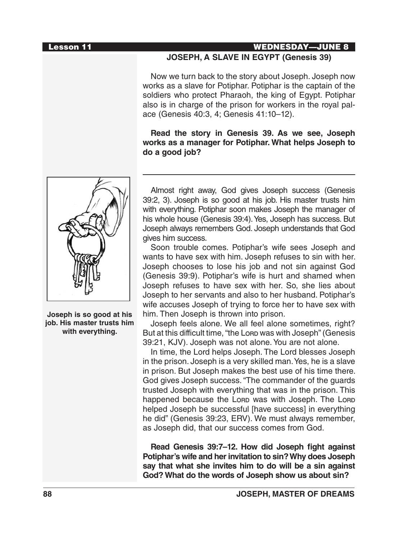#### Lesson 11 WEDNESDAY—JUNE 8

## **JOSEPH, A SLAVE IN EGYPT (Genesis 39)**

Now we turn back to the story about Joseph. Joseph now works as a slave for Potiphar. Potiphar is the captain of the soldiers who protect Pharaoh, the king of Egypt. Potiphar also is in charge of the prison for workers in the royal palace (Genesis 40:3, 4; Genesis 41:10–12).

**Read the story in Genesis 39. As we see, Joseph works as a manager for Potiphar. What helps Joseph to do a good job?**



**Joseph is so good at his job. His master trusts him with everything.**

Almost right away, God gives Joseph success (Genesis 39:2, 3). Joseph is so good at his job. His master trusts him with everything. Potiphar soon makes Joseph the manager of his whole house (Genesis 39:4). Yes, Joseph has success. But Joseph always remembers God. Joseph understands that God gives him success.

Soon trouble comes. Potiphar's wife sees Joseph and wants to have sex with him. Joseph refuses to sin with her. Joseph chooses to lose his job and not sin against God (Genesis 39:9). Potiphar's wife is hurt and shamed when Joseph refuses to have sex with her. So, she lies about Joseph to her servants and also to her husband. Potiphar's wife accuses Joseph of trying to force her to have sex with him. Then Joseph is thrown into prison.

Joseph feels alone. We all feel alone sometimes, right? But at this difficult time, "the Lorp was with Joseph" (Genesis 39:21, KJV). Joseph was not alone. You are not alone.

In time, the Lord helps Joseph. The Lord blesses Joseph in the prison. Joseph is a very skilled man. Yes, he is a slave in prison. But Joseph makes the best use of his time there. God gives Joseph success. "The commander of the guards trusted Joseph with everything that was in the prison. This happened because the Lorp was with Joseph. The Lorp helped Joseph be successful [have success] in everything he did" (Genesis 39:23, ERV). We must always remember, as Joseph did, that our success comes from God.

**Read Genesis 39:7–12. How did Joseph fight against Potiphar's wife and her invitation to sin? Why does Joseph say that what she invites him to do will be a sin against God? What do the words of Joseph show us about sin?**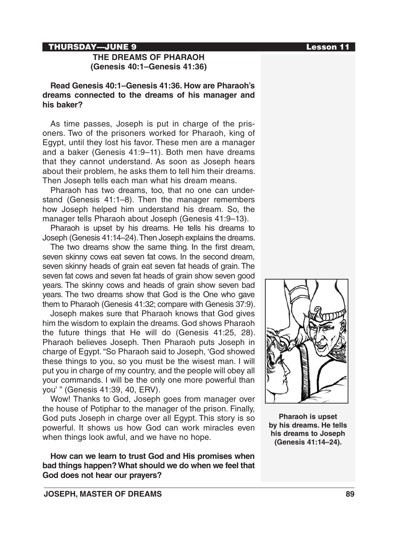#### THURSDAY—JUNE 9 Lesson 11

## **THE DREAMS OF PHARAOH (Genesis 40:1–Genesis 41:36)**

**Read Genesis 40:1–Genesis 41:36. How are Pharaoh's dreams connected to the dreams of his manager and his baker?** 

As time passes, Joseph is put in charge of the prisoners. Two of the prisoners worked for Pharaoh, king of Egypt, until they lost his favor. These men are a manager and a baker (Genesis 41:9–11). Both men have dreams that they cannot understand. As soon as Joseph hears about their problem, he asks them to tell him their dreams. Then Joseph tells each man what his dream means.

Pharaoh has two dreams, too, that no one can understand (Genesis 41:1–8). Then the manager remembers how Joseph helped him understand his dream. So, the manager tells Pharaoh about Joseph (Genesis 41:9–13).

Pharaoh is upset by his dreams. He tells his dreams to Joseph (Genesis 41:14–24). Then Joseph explains the dreams.

The two dreams show the same thing. In the first dream, seven skinny cows eat seven fat cows. In the second dream, seven skinny heads of grain eat seven fat heads of grain. The seven fat cows and seven fat heads of grain show seven good years. The skinny cows and heads of grain show seven bad years. The two dreams show that God is the One who gave them to Pharaoh (Genesis 41:32; compare with Genesis 37:9).

Joseph makes sure that Pharaoh knows that God gives him the wisdom to explain the dreams. God shows Pharaoh the future things that He will do (Genesis 41:25, 28). Pharaoh believes Joseph. Then Pharaoh puts Joseph in charge of Egypt. "So Pharaoh said to Joseph, 'God showed these things to you, so you must be the wisest man. I will put you in charge of my country, and the people will obey all your commands. I will be the only one more powerful than you' " (Genesis 41:39, 40, ERV).

Wow! Thanks to God, Joseph goes from manager over the house of Potiphar to the manager of the prison. Finally, God puts Joseph in charge over all Egypt. This story is so powerful. It shows us how God can work miracles even when things look awful, and we have no hope.

**How can we learn to trust God and His promises when bad things happen? What should we do when we feel that God does not hear our prayers?**



**Pharaoh is upset by his dreams. He tells his dreams to Joseph (Genesis 41:14–24).**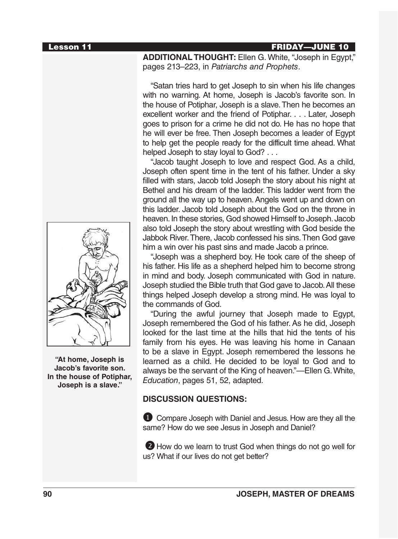

**"At home, Joseph is Jacob's favorite son. In the house of Potiphar, Joseph is a slave."**

Lesson 11 FRIDAY—JUNE 10

**ADDITIONAL THOUGHT:** Ellen G. White, "Joseph in Egypt," pages 213–223, in *Patriarchs and Prophets*.

"Satan tries hard to get Joseph to sin when his life changes with no warning. At home, Joseph is Jacob's favorite son. In the house of Potiphar, Joseph is a slave. Then he becomes an excellent worker and the friend of Potiphar. . . . Later, Joseph goes to prison for a crime he did not do. He has no hope that he will ever be free. Then Joseph becomes a leader of Egypt to help get the people ready for the difficult time ahead. What helped Joseph to stay loyal to God? . . .

"Jacob taught Joseph to love and respect God. As a child, Joseph often spent time in the tent of his father. Under a sky filled with stars, Jacob told Joseph the story about his night at Bethel and his dream of the ladder. This ladder went from the ground all the way up to heaven. Angels went up and down on this ladder. Jacob told Joseph about the God on the throne in heaven. In these stories, God showed Himself to Joseph. Jacob also told Joseph the story about wrestling with God beside the Jabbok River. There, Jacob confessed his sins. Then God gave him a win over his past sins and made Jacob a prince.

"Joseph was a shepherd boy. He took care of the sheep of his father. His life as a shepherd helped him to become strong in mind and body. Joseph communicated with God in nature. Joseph studied the Bible truth that God gave to Jacob. All these things helped Joseph develop a strong mind. He was loyal to the commands of God.

"During the awful journey that Joseph made to Egypt, Joseph remembered the God of his father. As he did, Joseph looked for the last time at the hills that hid the tents of his family from his eyes. He was leaving his home in Canaan to be a slave in Egypt. Joseph remembered the lessons he learned as a child. He decided to be loyal to God and to always be the servant of the King of heaven."—Ellen G. White, *Education*, pages 51, 52, adapted.

#### **DISCUSSION QUESTIONS:**

**1** Compare Joseph with Daniel and Jesus. How are they all the same? How do we see Jesus in Joseph and Daniel?

2 How do we learn to trust God when things do not go well for us? What if our lives do not get better?